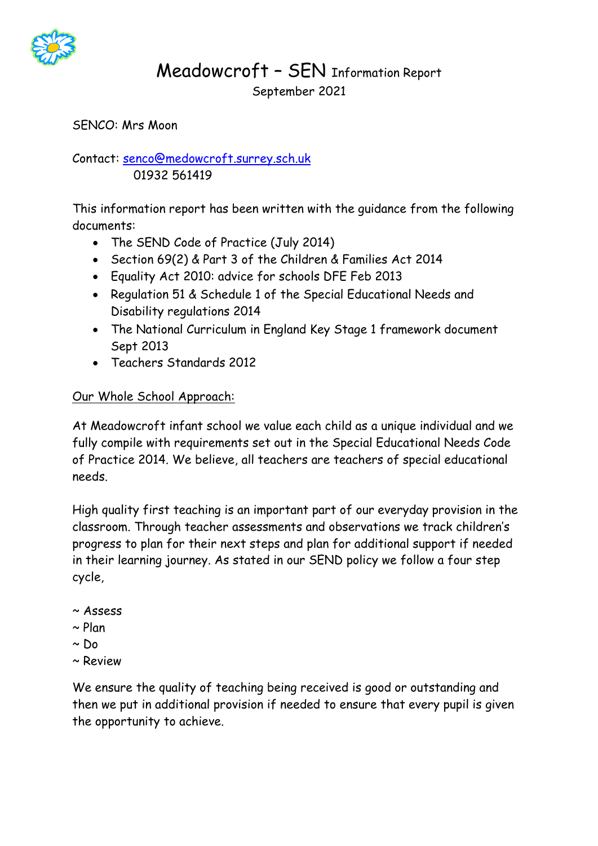

# Meadowcroft – SEN Information Report September 2021

SENCO: Mrs Moon

Contact: [senco@medowcroft.surrey.sch.uk](mailto:senco@medowcroft.surrey.sch.uk) 01932 561419

This information report has been written with the guidance from the following documents:

- The SEND Code of Practice (July 2014)
- Section 69(2) & Part 3 of the Children & Families Act 2014
- Equality Act 2010: advice for schools DFE Feb 2013
- Regulation 51 & Schedule 1 of the Special Educational Needs and Disability regulations 2014
- The National Curriculum in England Key Stage 1 framework document Sept 2013
- Teachers Standards 2012

## Our Whole School Approach:

At Meadowcroft infant school we value each child as a unique individual and we fully compile with requirements set out in the Special Educational Needs Code of Practice 2014. We believe, all teachers are teachers of special educational needs.

High quality first teaching is an important part of our everyday provision in the classroom. Through teacher assessments and observations we track children's progress to plan for their next steps and plan for additional support if needed in their learning journey. As stated in our SEND policy we follow a four step cycle,

- ~ Assess
- $\sim$  Plan
- $~\sim$  Do.
- ~ Review

We ensure the quality of teaching being received is good or outstanding and then we put in additional provision if needed to ensure that every pupil is given the opportunity to achieve.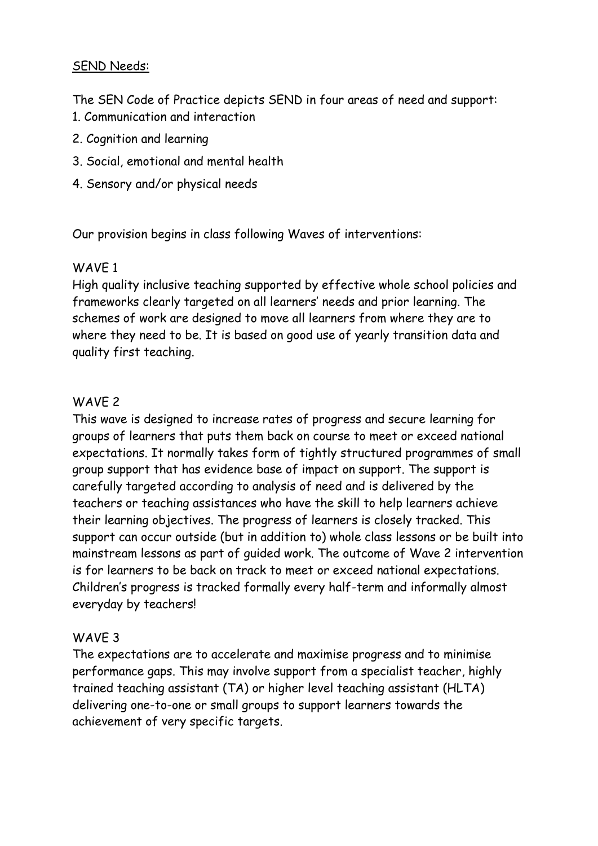## SEND Needs:

The SEN Code of Practice depicts SEND in four areas of need and support:

- 1. Communication and interaction
- 2. Cognition and learning
- 3. Social, emotional and mental health
- 4. Sensory and/or physical needs

Our provision begins in class following Waves of interventions:

#### WAVE 1

High quality inclusive teaching supported by effective whole school policies and frameworks clearly targeted on all learners' needs and prior learning. The schemes of work are designed to move all learners from where they are to where they need to be. It is based on good use of yearly transition data and quality first teaching.

## WAVE 2

This wave is designed to increase rates of progress and secure learning for groups of learners that puts them back on course to meet or exceed national expectations. It normally takes form of tightly structured programmes of small group support that has evidence base of impact on support. The support is carefully targeted according to analysis of need and is delivered by the teachers or teaching assistances who have the skill to help learners achieve their learning objectives. The progress of learners is closely tracked. This support can occur outside (but in addition to) whole class lessons or be built into mainstream lessons as part of guided work. The outcome of Wave 2 intervention is for learners to be back on track to meet or exceed national expectations. Children's progress is tracked formally every half-term and informally almost everyday by teachers!

## WAVE 3

The expectations are to accelerate and maximise progress and to minimise performance gaps. This may involve support from a specialist teacher, highly trained teaching assistant (TA) or higher level teaching assistant (HLTA) delivering one-to-one or small groups to support learners towards the achievement of very specific targets.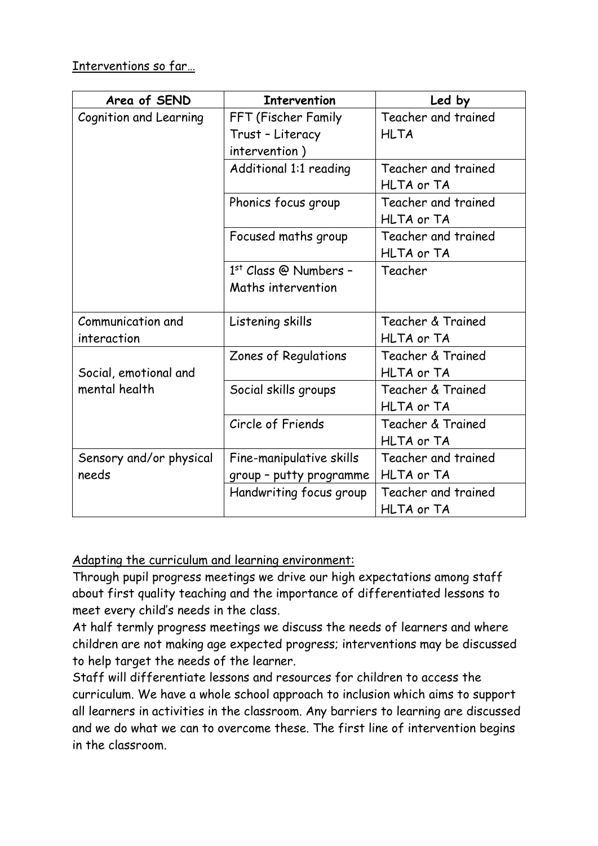Interventions so far…

| Area of SEND                           | <b>Intervention</b>      | Led by              |
|----------------------------------------|--------------------------|---------------------|
| Cognition and Learning                 | FFT (Fischer Family      | Teacher and trained |
|                                        | Trust - Literacy         | <b>HLTA</b>         |
|                                        | intervention)            |                     |
|                                        | Additional 1:1 reading   | Teacher and trained |
|                                        |                          | HLTA or TA          |
|                                        | Phonics focus group      | Teacher and trained |
|                                        |                          | HLTA or TA          |
|                                        | Focused maths group      | Teacher and trained |
|                                        |                          | HLTA or TA          |
|                                        | $1st$ Class @ Numbers -  | Teacher             |
|                                        | Maths intervention       |                     |
|                                        |                          |                     |
| Communication and                      | Listening skills         | Teacher & Trained   |
| interaction                            |                          | HLTA or TA          |
| Social, emotional and<br>mental health | Zones of Regulations     | Teacher & Trained   |
|                                        |                          | HLTA or TA          |
|                                        | Social skills groups     | Teacher & Trained   |
|                                        |                          | HLTA or TA          |
|                                        | Circle of Friends        | Teacher & Trained   |
|                                        |                          | HLTA or TA          |
| Sensory and/or physical                | Fine-manipulative skills | Teacher and trained |
| needs                                  | group - putty programme  | HLTA or TA          |
|                                        | Handwriting focus group  | Teacher and trained |
|                                        |                          | HLTA or TA          |

Adapting the curriculum and learning environment:

Through pupil progress meetings we drive our high expectations among staff about first quality teaching and the importance of differentiated lessons to meet every child's needs in the class.

At half termly progress meetings we discuss the needs of learners and where children are not making age expected progress; interventions may be discussed to help target the needs of the learner.

Staff will differentiate lessons and resources for children to access the curriculum. We have a whole school approach to inclusion which aims to support all learners in activities in the classroom. Any barriers to learning are discussed and we do what we can to overcome these. The first line of intervention begins in the classroom.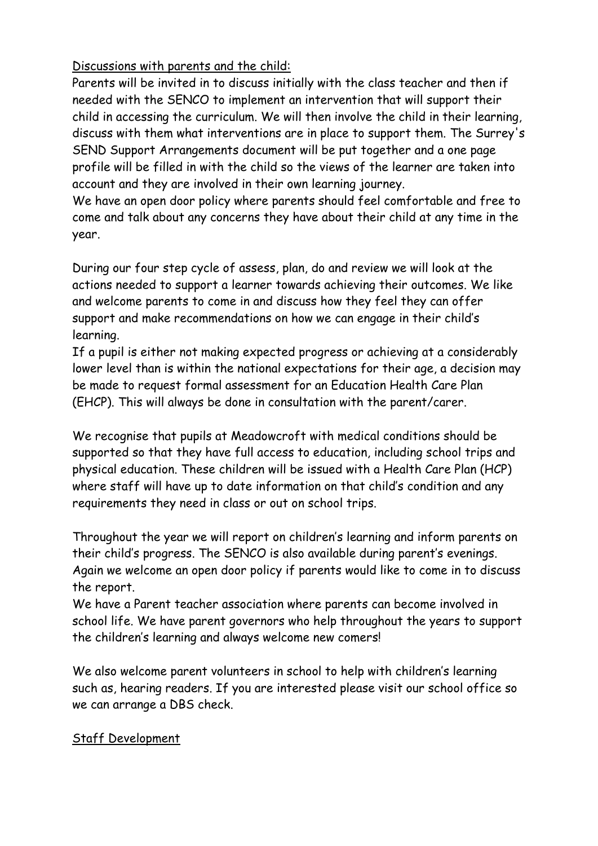Discussions with parents and the child:

Parents will be invited in to discuss initially with the class teacher and then if needed with the SENCO to implement an intervention that will support their child in accessing the curriculum. We will then involve the child in their learning, discuss with them what interventions are in place to support them. The Surrey's SEND Support Arrangements document will be put together and a one page profile will be filled in with the child so the views of the learner are taken into account and they are involved in their own learning journey.

We have an open door policy where parents should feel comfortable and free to come and talk about any concerns they have about their child at any time in the year.

During our four step cycle of assess, plan, do and review we will look at the actions needed to support a learner towards achieving their outcomes. We like and welcome parents to come in and discuss how they feel they can offer support and make recommendations on how we can engage in their child's learning.

If a pupil is either not making expected progress or achieving at a considerably lower level than is within the national expectations for their age, a decision may be made to request formal assessment for an Education Health Care Plan (EHCP). This will always be done in consultation with the parent/carer.

We recognise that pupils at Meadowcroft with medical conditions should be supported so that they have full access to education, including school trips and physical education. These children will be issued with a Health Care Plan (HCP) where staff will have up to date information on that child's condition and any requirements they need in class or out on school trips.

Throughout the year we will report on children's learning and inform parents on their child's progress. The SENCO is also available during parent's evenings. Again we welcome an open door policy if parents would like to come in to discuss the report.

We have a Parent teacher association where parents can become involved in school life. We have parent governors who help throughout the years to support the children's learning and always welcome new comers!

We also welcome parent volunteers in school to help with children's learning such as, hearing readers. If you are interested please visit our school office so we can arrange a DBS check.

## Staff Development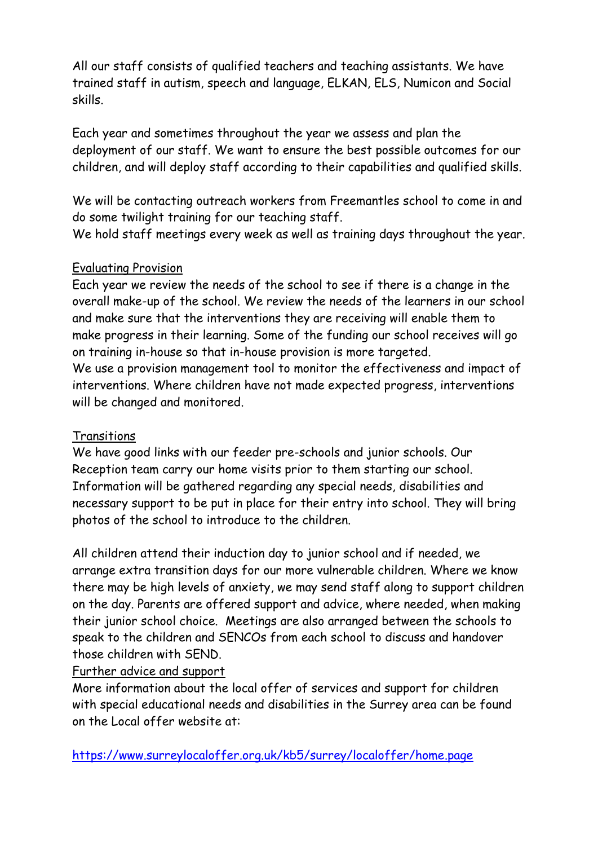All our staff consists of qualified teachers and teaching assistants. We have trained staff in autism, speech and language, ELKAN, ELS, Numicon and Social skills.

Each year and sometimes throughout the year we assess and plan the deployment of our staff. We want to ensure the best possible outcomes for our children, and will deploy staff according to their capabilities and qualified skills.

We will be contacting outreach workers from Freemantles school to come in and do some twilight training for our teaching staff.

We hold staff meetings every week as well as training days throughout the year.

## Evaluating Provision

Each year we review the needs of the school to see if there is a change in the overall make-up of the school. We review the needs of the learners in our school and make sure that the interventions they are receiving will enable them to make progress in their learning. Some of the funding our school receives will go on training in-house so that in-house provision is more targeted.

We use a provision management tool to monitor the effectiveness and impact of interventions. Where children have not made expected progress, interventions will be changed and monitored.

# **Transitions**

We have good links with our feeder pre-schools and junior schools. Our Reception team carry our home visits prior to them starting our school. Information will be gathered regarding any special needs, disabilities and necessary support to be put in place for their entry into school. They will bring photos of the school to introduce to the children.

All children attend their induction day to junior school and if needed, we arrange extra transition days for our more vulnerable children. Where we know there may be high levels of anxiety, we may send staff along to support children on the day. Parents are offered support and advice, where needed, when making their junior school choice. Meetings are also arranged between the schools to speak to the children and SENCOs from each school to discuss and handover those children with SEND.

## Further advice and support

More information about the local offer of services and support for children with special educational needs and disabilities in the Surrey area can be found on the Local offer website at:

<https://www.surreylocaloffer.org.uk/kb5/surrey/localoffer/home.page>